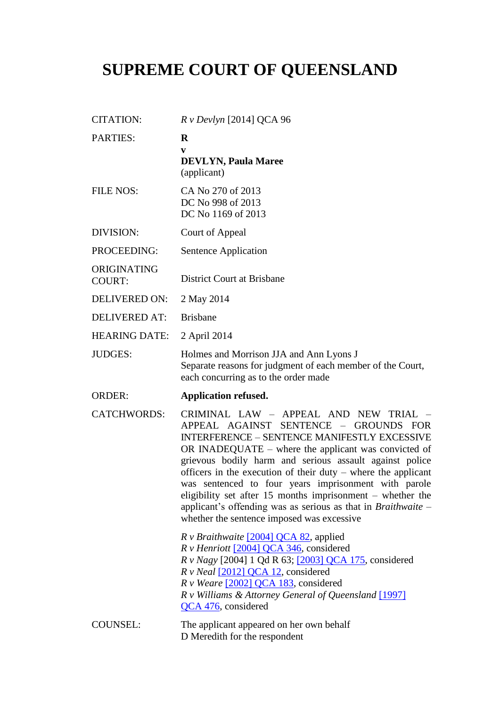# **SUPREME COURT OF QUEENSLAND**

| <b>CITATION:</b>             | $R v$ Devlyn [2014] QCA 96                                                                                                                                                                                                                                                                                                                                                                                                                                                                                                                                                  |
|------------------------------|-----------------------------------------------------------------------------------------------------------------------------------------------------------------------------------------------------------------------------------------------------------------------------------------------------------------------------------------------------------------------------------------------------------------------------------------------------------------------------------------------------------------------------------------------------------------------------|
| <b>PARTIES:</b>              | $\bf{R}$<br>V<br><b>DEVLYN, Paula Maree</b><br>(applicant)                                                                                                                                                                                                                                                                                                                                                                                                                                                                                                                  |
| <b>FILE NOS:</b>             | CA No 270 of 2013<br>DC No 998 of 2013<br>DC No 1169 of 2013                                                                                                                                                                                                                                                                                                                                                                                                                                                                                                                |
| <b>DIVISION:</b>             | Court of Appeal                                                                                                                                                                                                                                                                                                                                                                                                                                                                                                                                                             |
| PROCEEDING:                  | Sentence Application                                                                                                                                                                                                                                                                                                                                                                                                                                                                                                                                                        |
| ORIGINATING<br><b>COURT:</b> | <b>District Court at Brisbane</b>                                                                                                                                                                                                                                                                                                                                                                                                                                                                                                                                           |
| <b>DELIVERED ON:</b>         | 2 May 2014                                                                                                                                                                                                                                                                                                                                                                                                                                                                                                                                                                  |
| <b>DELIVERED AT:</b>         | <b>Brisbane</b>                                                                                                                                                                                                                                                                                                                                                                                                                                                                                                                                                             |
| <b>HEARING DATE:</b>         | 2 April 2014                                                                                                                                                                                                                                                                                                                                                                                                                                                                                                                                                                |
| <b>JUDGES:</b>               | Holmes and Morrison JJA and Ann Lyons J<br>Separate reasons for judgment of each member of the Court,<br>each concurring as to the order made                                                                                                                                                                                                                                                                                                                                                                                                                               |
| <b>ORDER:</b>                | <b>Application refused.</b>                                                                                                                                                                                                                                                                                                                                                                                                                                                                                                                                                 |
| <b>CATCHWORDS:</b>           | CRIMINAL LAW - APPEAL AND NEW TRIAL -<br>APPEAL AGAINST SENTENCE - GROUNDS FOR<br><b>INTERFERENCE - SENTENCE MANIFESTLY EXCESSIVE</b><br>OR INADEQUATE $-$ where the applicant was convicted of<br>grievous bodily harm and serious assault against police<br>officers in the execution of their duty – where the applicant<br>was sentenced to four years imprisonment with parole<br>eligibility set after 15 months imprisonment $-$ whether the<br>applicant's offending was as serious as that in <i>Braithwaite</i> $-$<br>whether the sentence imposed was excessive |
|                              | R v Braithwaite [2004] QCA 82, applied<br>$R \nu$ Henriott [2004] QCA 346, considered<br>R v Nagy [2004] 1 Qd R 63; [2003] QCA 175, considered<br>R v Neal [2012] QCA 12, considered<br>$R \text{ v}$ Weare [2002] QCA 183, considered<br>R v Williams & Attorney General of Queensland [1997]<br>QCA 476, considered                                                                                                                                                                                                                                                       |
| <b>COUNSEL:</b>              | The applicant appeared on her own behalf<br>D Meredith for the respondent                                                                                                                                                                                                                                                                                                                                                                                                                                                                                                   |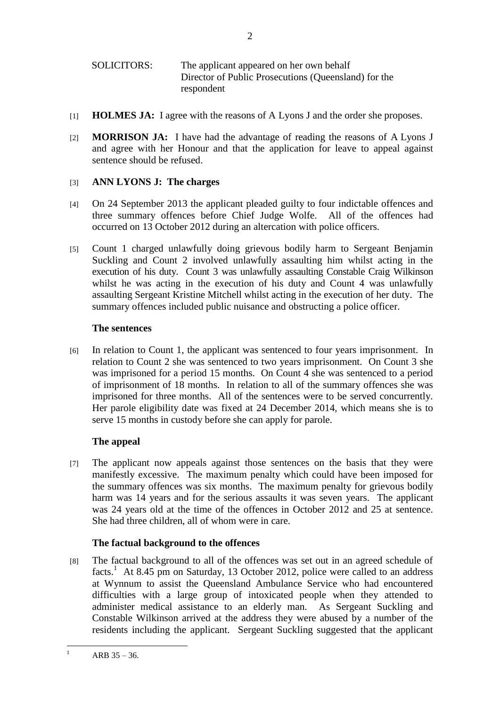- [1] **HOLMES JA:** I agree with the reasons of A Lyons J and the order she proposes.
- [2] **MORRISON JA:** I have had the advantage of reading the reasons of A Lyons J and agree with her Honour and that the application for leave to appeal against sentence should be refused.

# [3] **ANN LYONS J: The charges**

- [4] On 24 September 2013 the applicant pleaded guilty to four indictable offences and three summary offences before Chief Judge Wolfe. All of the offences had occurred on 13 October 2012 during an altercation with police officers.
- [5] Count 1 charged unlawfully doing grievous bodily harm to Sergeant Benjamin Suckling and Count 2 involved unlawfully assaulting him whilst acting in the execution of his duty. Count 3 was unlawfully assaulting Constable Craig Wilkinson whilst he was acting in the execution of his duty and Count 4 was unlawfully assaulting Sergeant Kristine Mitchell whilst acting in the execution of her duty. The summary offences included public nuisance and obstructing a police officer.

# **The sentences**

[6] In relation to Count 1, the applicant was sentenced to four years imprisonment. In relation to Count 2 she was sentenced to two years imprisonment. On Count 3 she was imprisoned for a period 15 months. On Count 4 she was sentenced to a period of imprisonment of 18 months. In relation to all of the summary offences she was imprisoned for three months. All of the sentences were to be served concurrently. Her parole eligibility date was fixed at 24 December 2014, which means she is to serve 15 months in custody before she can apply for parole.

# **The appeal**

[7] The applicant now appeals against those sentences on the basis that they were manifestly excessive. The maximum penalty which could have been imposed for the summary offences was six months. The maximum penalty for grievous bodily harm was 14 years and for the serious assaults it was seven years. The applicant was 24 years old at the time of the offences in October 2012 and 25 at sentence. She had three children, all of whom were in care.

# **The factual background to the offences**

[8] The factual background to all of the offences was set out in an agreed schedule of facts.<sup>1</sup> At 8.45 pm on Saturday, 13 October 2012, police were called to an address at Wynnum to assist the Queensland Ambulance Service who had encountered difficulties with a large group of intoxicated people when they attended to administer medical assistance to an elderly man. As Sergeant Suckling and Constable Wilkinson arrived at the address they were abused by a number of the residents including the applicant. Sergeant Suckling suggested that the applicant

 $\mathbf{1}$ ARB  $35 - 36$ .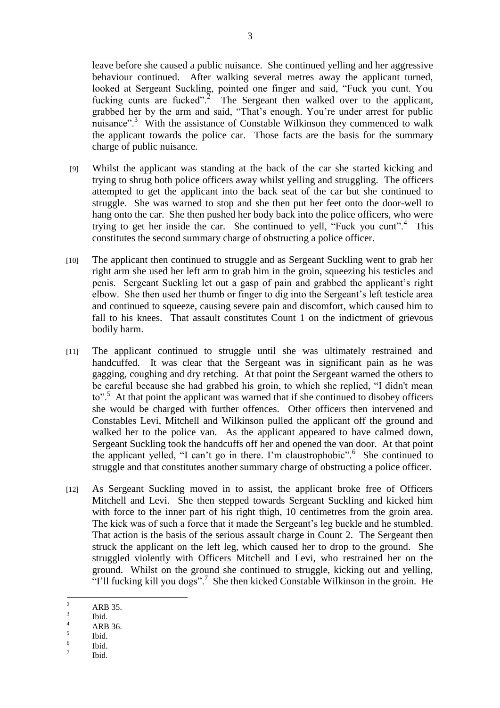leave before she caused a public nuisance. She continued yelling and her aggressive behaviour continued. After walking several metres away the applicant turned, looked at Sergeant Suckling, pointed one finger and said, "Fuck you cunt. You fucking cunts are fucked".<sup>2</sup> The Sergeant then walked over to the applicant, grabbed her by the arm and said, "That's enough. You're under arrest for public nuisance".<sup>3</sup> With the assistance of Constable Wilkinson they commenced to walk the applicant towards the police car. Those facts are the basis for the summary charge of public nuisance.

- [9] Whilst the applicant was standing at the back of the car she started kicking and trying to shrug both police officers away whilst yelling and struggling. The officers attempted to get the applicant into the back seat of the car but she continued to struggle. She was warned to stop and she then put her feet onto the door-well to hang onto the car. She then pushed her body back into the police officers, who were trying to get her inside the car. She continued to yell, "Fuck you cunt".<sup>4</sup> This constitutes the second summary charge of obstructing a police officer.
- [10] The applicant then continued to struggle and as Sergeant Suckling went to grab her right arm she used her left arm to grab him in the groin, squeezing his testicles and penis. Sergeant Suckling let out a gasp of pain and grabbed the applicant's right elbow. She then used her thumb or finger to dig into the Sergeant's left testicle area and continued to squeeze, causing severe pain and discomfort, which caused him to fall to his knees. That assault constitutes Count 1 on the indictment of grievous bodily harm.
- [11] The applicant continued to struggle until she was ultimately restrained and handcuffed. It was clear that the Sergeant was in significant pain as he was gagging, coughing and dry retching. At that point the Sergeant warned the others to be careful because she had grabbed his groin, to which she replied, "I didn't mean to".<sup>5</sup> At that point the applicant was warned that if she continued to disobey officers she would be charged with further offences. Other officers then intervened and Constables Levi, Mitchell and Wilkinson pulled the applicant off the ground and walked her to the police van. As the applicant appeared to have calmed down, Sergeant Suckling took the handcuffs off her and opened the van door. At that point the applicant yelled, "I can't go in there. I'm claustrophobic".<sup>6</sup> She continued to struggle and that constitutes another summary charge of obstructing a police officer.
- [12] As Sergeant Suckling moved in to assist, the applicant broke free of Officers Mitchell and Levi. She then stepped towards Sergeant Suckling and kicked him with force to the inner part of his right thigh, 10 centimetres from the groin area. The kick was of such a force that it made the Sergeant's leg buckle and he stumbled. That action is the basis of the serious assault charge in Count 2. The Sergeant then struck the applicant on the left leg, which caused her to drop to the ground. She struggled violently with Officers Mitchell and Levi, who restrained her on the ground. Whilst on the ground she continued to struggle, kicking out and yelling, "I'll fucking kill you dogs".<sup>7</sup> She then kicked Constable Wilkinson in the groin. He

 $\overline{c}$ <sup>2</sup> ARB 35.

<sup>3</sup> Ibid.

 $4$  ARB 36.

<sup>5</sup> Ibid.

<sup>6</sup> Ibid.

<sup>7</sup> Ibid.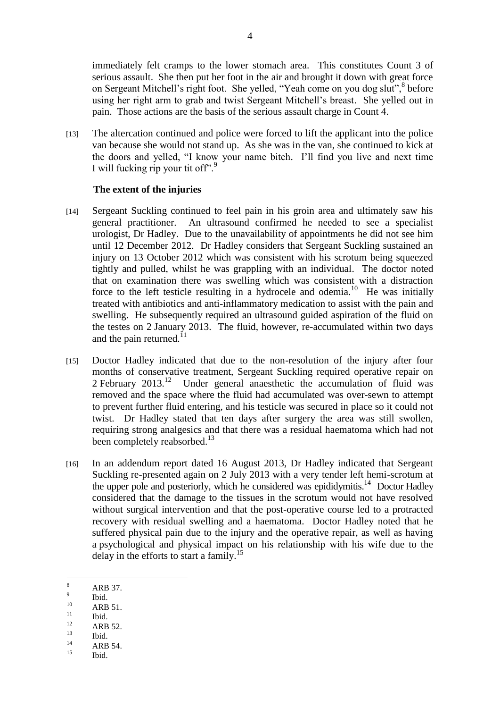immediately felt cramps to the lower stomach area. This constitutes Count 3 of serious assault. She then put her foot in the air and brought it down with great force on Sergeant Mitchell's right foot. She yelled, "Yeah come on you dog slut",<sup>8</sup> before using her right arm to grab and twist Sergeant Mitchell's breast. She yelled out in pain. Those actions are the basis of the serious assault charge in Count 4.

[13] The altercation continued and police were forced to lift the applicant into the police van because she would not stand up. As she was in the van, she continued to kick at the doors and yelled, "I know your name bitch. I'll find you live and next time I will fucking rip your tit off".

#### **The extent of the injuries**

- [14] Sergeant Suckling continued to feel pain in his groin area and ultimately saw his general practitioner. An ultrasound confirmed he needed to see a specialist urologist, Dr Hadley. Due to the unavailability of appointments he did not see him until 12 December 2012. Dr Hadley considers that Sergeant Suckling sustained an injury on 13 October 2012 which was consistent with his scrotum being squeezed tightly and pulled, whilst he was grappling with an individual. The doctor noted that on examination there was swelling which was consistent with a distraction force to the left testicle resulting in a hydrocele and odemia.<sup>10</sup> He was initially treated with antibiotics and anti-inflammatory medication to assist with the pain and swelling. He subsequently required an ultrasound guided aspiration of the fluid on the testes on 2 January 2013. The fluid, however, re-accumulated within two days and the pain returned. $^{11}$
- [15] Doctor Hadley indicated that due to the non-resolution of the injury after four months of conservative treatment, Sergeant Suckling required operative repair on 2 February 2013.<sup>12</sup> Under general anaesthetic the accumulation of fluid was removed and the space where the fluid had accumulated was over-sewn to attempt to prevent further fluid entering, and his testicle was secured in place so it could not twist. Dr Hadley stated that ten days after surgery the area was still swollen, requiring strong analgesics and that there was a residual haematoma which had not been completely reabsorbed.<sup>13</sup>
- [16] In an addendum report dated 16 August 2013, Dr Hadley indicated that Sergeant Suckling re-presented again on 2 July 2013 with a very tender left hemi-scrotum at the upper pole and posteriorly, which he considered was epididymitis.<sup>14</sup> Doctor Hadley considered that the damage to the tissues in the scrotum would not have resolved without surgical intervention and that the post-operative course led to a protracted recovery with residual swelling and a haematoma. Doctor Hadley noted that he suffered physical pain due to the injury and the operative repair, as well as having a psychological and physical impact on his relationship with his wife due to the delay in the efforts to start a family.<sup>15</sup>

- $10$  ARB 51.
- $\frac{11}{12}$  Ibid.
- $12$  ARB 52.
- $\begin{array}{ccc} 13 & \text{Ibid.} \\ 14 & \text{I.D.} \end{array}$
- $14$  ARB 54.
- Ibid.

<sup>8</sup> ARB 37.

<sup>9</sup> Ibid.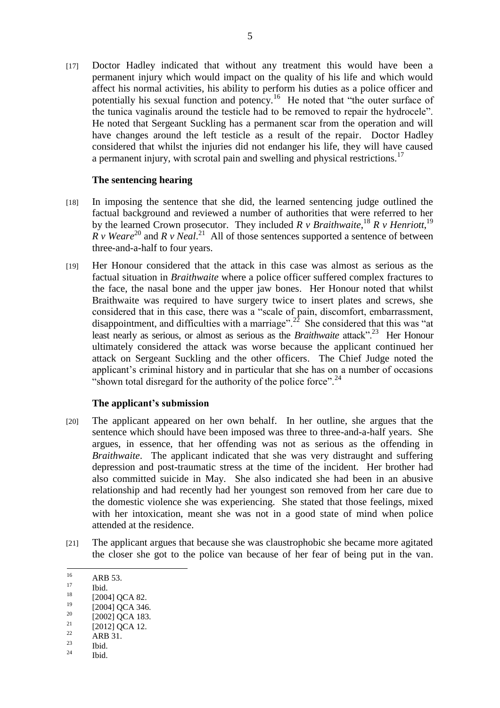[17] Doctor Hadley indicated that without any treatment this would have been a permanent injury which would impact on the quality of his life and which would affect his normal activities, his ability to perform his duties as a police officer and potentially his sexual function and potency.<sup>16</sup> He noted that "the outer surface of the tunica vaginalis around the testicle had to be removed to repair the hydrocele". He noted that Sergeant Suckling has a permanent scar from the operation and will have changes around the left testicle as a result of the repair. Doctor Hadley considered that whilst the injuries did not endanger his life, they will have caused a permanent injury, with scrotal pain and swelling and physical restrictions.<sup>17</sup>

#### **The sentencing hearing**

- [18] In imposing the sentence that she did, the learned sentencing judge outlined the factual background and reviewed a number of authorities that were referred to her by the learned Crown prosecutor. They included *R v Braithwaite*, <sup>18</sup> *R v Henriott*, <sup>19</sup>  $\overline{R}$  *v Weare*<sup>20</sup> and  $\overline{R}$  *v Neal*.<sup>21</sup> All of those sentences supported a sentence of between three-and-a-half to four years.
- [19] Her Honour considered that the attack in this case was almost as serious as the factual situation in *Braithwaite* where a police officer suffered complex fractures to the face, the nasal bone and the upper jaw bones. Her Honour noted that whilst Braithwaite was required to have surgery twice to insert plates and screws, she considered that in this case, there was a "scale of pain, discomfort, embarrassment, disappointment, and difficulties with a marriage".<sup>22</sup> She considered that this was "at least nearly as serious, or almost as serious as the *Braithwaite* attack".<sup>23</sup> Her Honour ultimately considered the attack was worse because the applicant continued her attack on Sergeant Suckling and the other officers. The Chief Judge noted the applicant's criminal history and in particular that she has on a number of occasions "shown total disregard for the authority of the police force".<sup>24</sup>

#### **The applicant's submission**

- [20] The applicant appeared on her own behalf. In her outline, she argues that the sentence which should have been imposed was three to three-and-a-half years. She argues, in essence, that her offending was not as serious as the offending in *Braithwaite*. The applicant indicated that she was very distraught and suffering depression and post-traumatic stress at the time of the incident. Her brother had also committed suicide in May. She also indicated she had been in an abusive relationship and had recently had her youngest son removed from her care due to the domestic violence she was experiencing. She stated that those feelings, mixed with her intoxication, meant she was not in a good state of mind when police attended at the residence.
- [21] The applicant argues that because she was claustrophobic she became more agitated the closer she got to the police van because of her fear of being put in the van.

 $17 \text{ Ibid.}$ 

- $\frac{23}{24}$  Ibid.
- Ibid.

 $16$  $16$  ARB 53.

 $^{18}$  [2004] QCA 82.

 $^{19}$  [2004] QCA 346.

 $^{20}$  [2002] QCA 183.

 $^{21}$  [2012] QCA 12.

 $\frac{22}{23}$  ARB 31.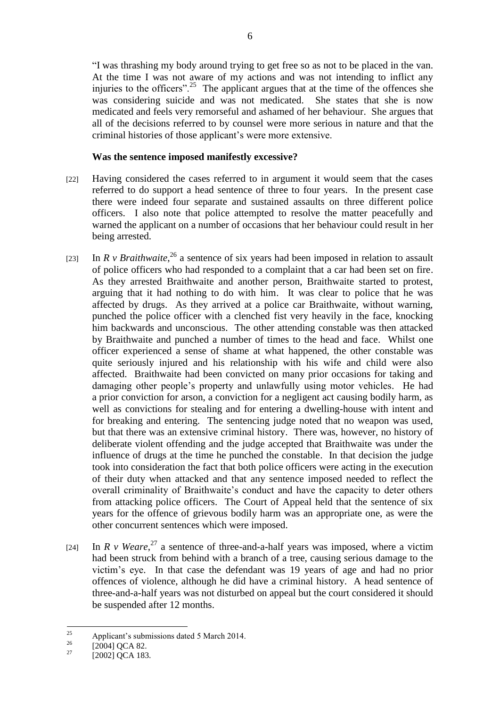"I was thrashing my body around trying to get free so as not to be placed in the van. At the time I was not aware of my actions and was not intending to inflict any injuries to the officers".<sup>25</sup> The applicant argues that at the time of the offences she was considering suicide and was not medicated. She states that she is now medicated and feels very remorseful and ashamed of her behaviour. She argues that all of the decisions referred to by counsel were more serious in nature and that the criminal histories of those applicant's were more extensive.

# **Was the sentence imposed manifestly excessive?**

- [22] Having considered the cases referred to in argument it would seem that the cases referred to do support a head sentence of three to four years. In the present case there were indeed four separate and sustained assaults on three different police officers. I also note that police attempted to resolve the matter peacefully and warned the applicant on a number of occasions that her behaviour could result in her being arrested.
- [23] In *R v Braithwaite*,<sup>26</sup> a sentence of six years had been imposed in relation to assault of police officers who had responded to a complaint that a car had been set on fire. As they arrested Braithwaite and another person, Braithwaite started to protest, arguing that it had nothing to do with him. It was clear to police that he was affected by drugs. As they arrived at a police car Braithwaite, without warning, punched the police officer with a clenched fist very heavily in the face, knocking him backwards and unconscious. The other attending constable was then attacked by Braithwaite and punched a number of times to the head and face. Whilst one officer experienced a sense of shame at what happened, the other constable was quite seriously injured and his relationship with his wife and child were also affected. Braithwaite had been convicted on many prior occasions for taking and damaging other people's property and unlawfully using motor vehicles. He had a prior conviction for arson, a conviction for a negligent act causing bodily harm, as well as convictions for stealing and for entering a dwelling-house with intent and for breaking and entering. The sentencing judge noted that no weapon was used, but that there was an extensive criminal history. There was, however, no history of deliberate violent offending and the judge accepted that Braithwaite was under the influence of drugs at the time he punched the constable. In that decision the judge took into consideration the fact that both police officers were acting in the execution of their duty when attacked and that any sentence imposed needed to reflect the overall criminality of Braithwaite's conduct and have the capacity to deter others from attacking police officers. The Court of Appeal held that the sentence of six years for the offence of grievous bodily harm was an appropriate one, as were the other concurrent sentences which were imposed.
- [24] In *R v Weare*,  $27$  a sentence of three-and-a-half years was imposed, where a victim had been struck from behind with a branch of a tree, causing serious damage to the victim's eye. In that case the defendant was 19 years of age and had no prior offences of violence, although he did have a criminal history. A head sentence of three-and-a-half years was not disturbed on appeal but the court considered it should be suspended after 12 months.

 $25$ <sup>25</sup> Applicant's submissions dated 5 March 2014.

 $^{26}$  [2004] QCA 82.

 $[2002]$  QCA 183.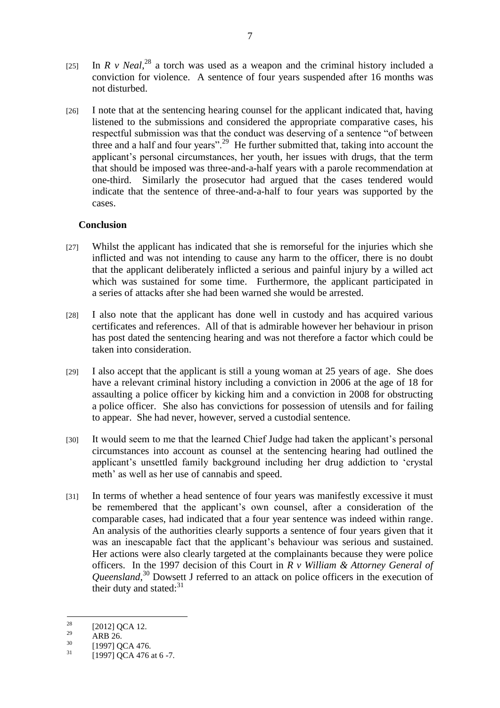- [25] In *R v Neal*,<sup>28</sup> a torch was used as a weapon and the criminal history included a conviction for violence. A sentence of four years suspended after 16 months was not disturbed.
- [26] I note that at the sentencing hearing counsel for the applicant indicated that, having listened to the submissions and considered the appropriate comparative cases, his respectful submission was that the conduct was deserving of a sentence "of between three and a half and four years".<sup>29</sup> He further submitted that, taking into account the applicant's personal circumstances, her youth, her issues with drugs, that the term that should be imposed was three-and-a-half years with a parole recommendation at one-third. Similarly the prosecutor had argued that the cases tendered would indicate that the sentence of three-and-a-half to four years was supported by the cases.

# **Conclusion**

- [27] Whilst the applicant has indicated that she is remorseful for the injuries which she inflicted and was not intending to cause any harm to the officer, there is no doubt that the applicant deliberately inflicted a serious and painful injury by a willed act which was sustained for some time. Furthermore, the applicant participated in a series of attacks after she had been warned she would be arrested.
- [28] I also note that the applicant has done well in custody and has acquired various certificates and references. All of that is admirable however her behaviour in prison has post dated the sentencing hearing and was not therefore a factor which could be taken into consideration.
- [29] I also accept that the applicant is still a young woman at 25 years of age. She does have a relevant criminal history including a conviction in 2006 at the age of 18 for assaulting a police officer by kicking him and a conviction in 2008 for obstructing a police officer. She also has convictions for possession of utensils and for failing to appear. She had never, however, served a custodial sentence.
- [30] It would seem to me that the learned Chief Judge had taken the applicant's personal circumstances into account as counsel at the sentencing hearing had outlined the applicant's unsettled family background including her drug addiction to 'crystal meth' as well as her use of cannabis and speed.
- [31] In terms of whether a head sentence of four years was manifestly excessive it must be remembered that the applicant's own counsel, after a consideration of the comparable cases, had indicated that a four year sentence was indeed within range. An analysis of the authorities clearly supports a sentence of four years given that it was an inescapable fact that the applicant's behaviour was serious and sustained. Her actions were also clearly targeted at the complainants because they were police officers. In the 1997 decision of this Court in *R v William & Attorney General of Queensland*, <sup>30</sup> Dowsett J referred to an attack on police officers in the execution of their duty and stated: $31$

<sup>28</sup>  $^{28}$  [2012] QCA 12.

 $\frac{29}{30}$  ARB 26.

 $\frac{30}{31}$  [1997] QCA 476.

<sup>[1997]</sup> QCA 476 at 6 -7.